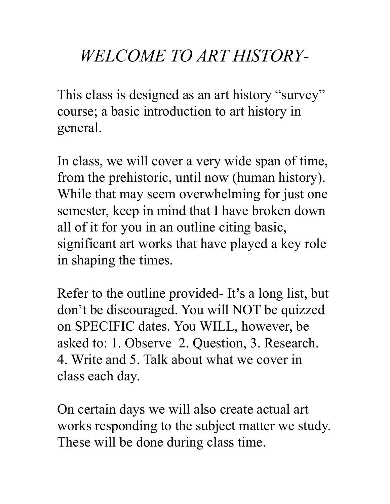## *WELCOME TO ART HISTORY-*

This class is designed as an art history "survey" course; a basic introduction to art history in general.

In class, we will cover a very wide span of time, from the prehistoric, until now (human history). While that may seem overwhelming for just one semester, keep in mind that I have broken down all of it for you in an outline citing basic, significant art works that have played a key role in shaping the times.

Refer to the outline provided- It's a long list, but don't be discouraged. You will NOT be quizzed on SPECIFIC dates. You WILL, however, be asked to: 1. Observe 2. Question, 3. Research. 4. Write and 5. Talk about what we cover in class each day.

On certain days we will also create actual art works responding to the subject matter we study. These will be done during class time.